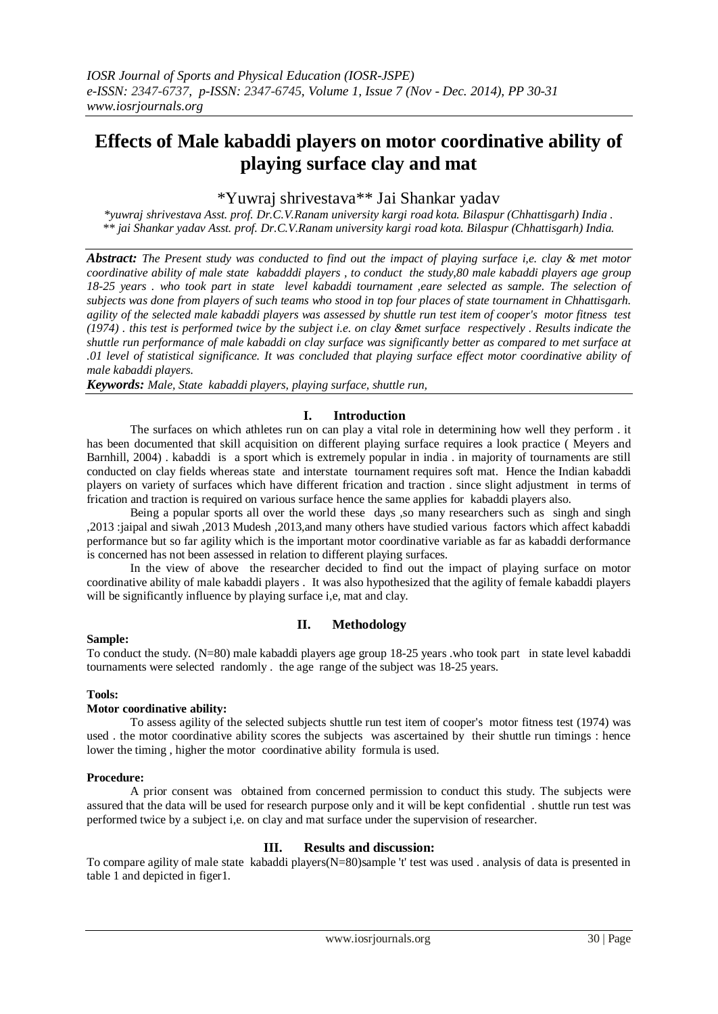# **Effects of Male kabaddi players on motor coordinative ability of playing surface clay and mat**

## \*Yuwraj shrivestava\*\* Jai Shankar yadav

*\*yuwraj shrivestava Asst. prof. Dr.C.V.Ranam university kargi road kota. Bilaspur (Chhattisgarh) India . \*\* jai Shankar yadav Asst. prof. Dr.C.V.Ranam university kargi road kota. Bilaspur (Chhattisgarh) India.*

*Abstract: The Present study was conducted to find out the impact of playing surface i,e. clay & met motor coordinative ability of male state kabadddi players , to conduct the study,80 male kabaddi players age group 18-25 years . who took part in state level kabaddi tournament ,eare selected as sample. The selection of subjects was done from players of such teams who stood in top four places of state tournament in Chhattisgarh. agility of the selected male kabaddi players was assessed by shuttle run test item of cooper's motor fitness test (1974) . this test is performed twice by the subject i.e. on clay &met surface respectively . Results indicate the shuttle run performance of male kabaddi on clay surface was significantly better as compared to met surface at .01 level of statistical significance. It was concluded that playing surface effect motor coordinative ability of male kabaddi players.* 

*Keywords: Male, State kabaddi players, playing surface, shuttle run,*

## **I. Introduction**

The surfaces on which athletes run on can play a vital role in determining how well they perform . it has been documented that skill acquisition on different playing surface requires a look practice ( Meyers and Barnhill, 2004) . kabaddi is a sport which is extremely popular in india . in majority of tournaments are still conducted on clay fields whereas state and interstate tournament requires soft mat. Hence the Indian kabaddi players on variety of surfaces which have different frication and traction . since slight adjustment in terms of frication and traction is required on various surface hence the same applies for kabaddi players also.

Being a popular sports all over the world these days ,so many researchers such as singh and singh ,2013 :jaipal and siwah ,2013 Mudesh ,2013,and many others have studied various factors which affect kabaddi performance but so far agility which is the important motor coordinative variable as far as kabaddi derformance is concerned has not been assessed in relation to different playing surfaces.

In the view of above the researcher decided to find out the impact of playing surface on motor coordinative ability of male kabaddi players . It was also hypothesized that the agility of female kabaddi players will be significantly influence by playing surface i,e, mat and clay.

## **II. Methodology**

### **Sample:**

To conduct the study. (N=80) male kabaddi players age group 18-25 years .who took part in state level kabaddi tournaments were selected randomly . the age range of the subject was 18-25 years.

### **Tools:**

### **Motor coordinative ability:**

To assess agility of the selected subjects shuttle run test item of cooper's motor fitness test (1974) was used . the motor coordinative ability scores the subjects was ascertained by their shuttle run timings : hence lower the timing , higher the motor coordinative ability formula is used.

#### **Procedure:**

A prior consent was obtained from concerned permission to conduct this study. The subjects were assured that the data will be used for research purpose only and it will be kept confidential . shuttle run test was performed twice by a subject i,e. on clay and mat surface under the supervision of researcher.

### **III. Results and discussion:**

To compare agility of male state kabaddi players(N=80)sample 't' test was used . analysis of data is presented in table 1 and depicted in figer1.